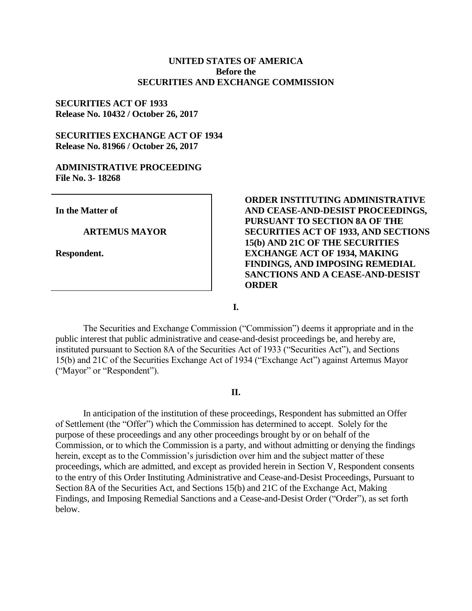# **UNITED STATES OF AMERICA Before the SECURITIES AND EXCHANGE COMMISSION**

# **SECURITIES ACT OF 1933 Release No. 10432 / October 26, 2017**

# **SECURITIES EXCHANGE ACT OF 1934 Release No. 81966 / October 26, 2017**

## **ADMINISTRATIVE PROCEEDING File No. 3- 18268**

**In the Matter of**

#### **ARTEMUS MAYOR**

**Respondent.**

# **ORDER INSTITUTING ADMINISTRATIVE AND CEASE-AND-DESIST PROCEEDINGS, PURSUANT TO SECTION 8A OF THE SECURITIES ACT OF 1933, AND SECTIONS 15(b) AND 21C OF THE SECURITIES EXCHANGE ACT OF 1934, MAKING FINDINGS, AND IMPOSING REMEDIAL SANCTIONS AND A CEASE-AND-DESIST ORDER**

**I.**

The Securities and Exchange Commission ("Commission") deems it appropriate and in the public interest that public administrative and cease-and-desist proceedings be, and hereby are, instituted pursuant to Section 8A of the Securities Act of 1933 ("Securities Act"), and Sections 15(b) and 21C of the Securities Exchange Act of 1934 ("Exchange Act") against Artemus Mayor ("Mayor" or "Respondent").

# **II.**

In anticipation of the institution of these proceedings, Respondent has submitted an Offer of Settlement (the "Offer") which the Commission has determined to accept. Solely for the purpose of these proceedings and any other proceedings brought by or on behalf of the Commission, or to which the Commission is a party, and without admitting or denying the findings herein, except as to the Commission's jurisdiction over him and the subject matter of these proceedings, which are admitted, and except as provided herein in Section V, Respondent consents to the entry of this Order Instituting Administrative and Cease-and-Desist Proceedings, Pursuant to Section 8A of the Securities Act, and Sections 15(b) and 21C of the Exchange Act, Making Findings, and Imposing Remedial Sanctions and a Cease-and-Desist Order ("Order"), as set forth below.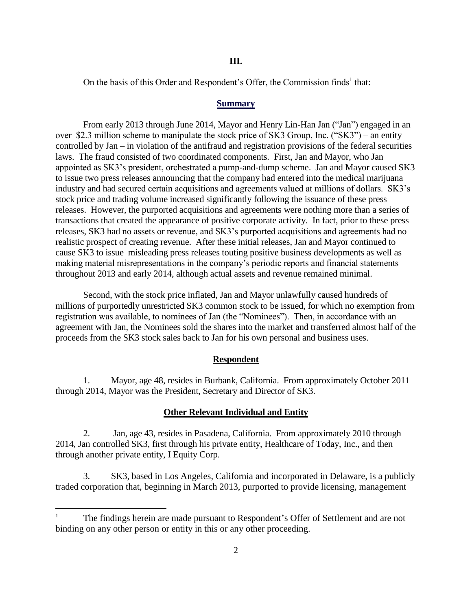On the basis of this Order and Respondent's Offer, the Commission finds<sup>1</sup> that:

#### **Summary**

From early 2013 through June 2014, Mayor and Henry Lin-Han Jan ("Jan") engaged in an over \$2.3 million scheme to manipulate the stock price of SK3 Group, Inc. ("SK3") – an entity controlled by Jan – in violation of the antifraud and registration provisions of the federal securities laws. The fraud consisted of two coordinated components. First, Jan and Mayor, who Jan appointed as SK3's president, orchestrated a pump-and-dump scheme. Jan and Mayor caused SK3 to issue two press releases announcing that the company had entered into the medical marijuana industry and had secured certain acquisitions and agreements valued at millions of dollars. SK3's stock price and trading volume increased significantly following the issuance of these press releases. However, the purported acquisitions and agreements were nothing more than a series of transactions that created the appearance of positive corporate activity. In fact, prior to these press releases, SK3 had no assets or revenue, and SK3's purported acquisitions and agreements had no realistic prospect of creating revenue. After these initial releases, Jan and Mayor continued to cause SK3 to issue misleading press releases touting positive business developments as well as making material misrepresentations in the company's periodic reports and financial statements throughout 2013 and early 2014, although actual assets and revenue remained minimal.

Second, with the stock price inflated, Jan and Mayor unlawfully caused hundreds of millions of purportedly unrestricted SK3 common stock to be issued, for which no exemption from registration was available, to nominees of Jan (the "Nominees"). Then, in accordance with an agreement with Jan, the Nominees sold the shares into the market and transferred almost half of the proceeds from the SK3 stock sales back to Jan for his own personal and business uses.

## **Respondent**

1. Mayor, age 48, resides in Burbank, California. From approximately October 2011 through 2014, Mayor was the President, Secretary and Director of SK3.

#### **Other Relevant Individual and Entity**

2. Jan, age 43, resides in Pasadena, California. From approximately 2010 through 2014, Jan controlled SK3, first through his private entity, Healthcare of Today, Inc., and then through another private entity, I Equity Corp.

3. SK3, based in Los Angeles, California and incorporated in Delaware, is a publicly traded corporation that, beginning in March 2013, purported to provide licensing, management

 $\overline{a}$ 

The findings herein are made pursuant to Respondent's Offer of Settlement and are not binding on any other person or entity in this or any other proceeding.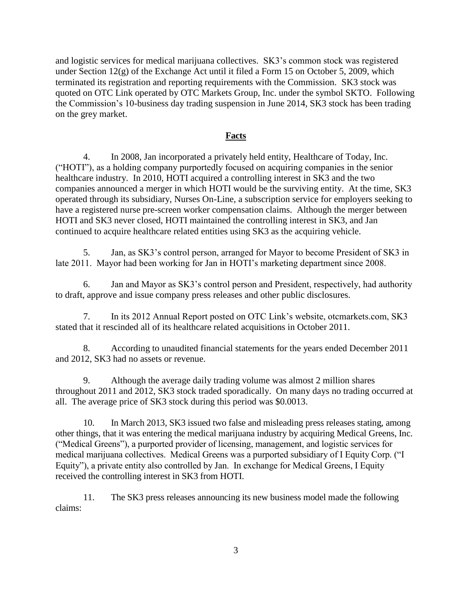and logistic services for medical marijuana collectives. SK3's common stock was registered under Section 12(g) of the Exchange Act until it filed a Form 15 on October 5, 2009, which terminated its registration and reporting requirements with the Commission. SK3 stock was quoted on OTC Link operated by OTC Markets Group, Inc. under the symbol SKTO. Following the Commission's 10-business day trading suspension in June 2014, SK3 stock has been trading on the grey market.

# **Facts**

4. In 2008, Jan incorporated a privately held entity, Healthcare of Today, Inc. ("HOTI"), as a holding company purportedly focused on acquiring companies in the senior healthcare industry. In 2010, HOTI acquired a controlling interest in SK3 and the two companies announced a merger in which HOTI would be the surviving entity. At the time, SK3 operated through its subsidiary, Nurses On-Line, a subscription service for employers seeking to have a registered nurse pre-screen worker compensation claims. Although the merger between HOTI and SK3 never closed, HOTI maintained the controlling interest in SK3, and Jan continued to acquire healthcare related entities using SK3 as the acquiring vehicle.

5. Jan, as SK3's control person, arranged for Mayor to become President of SK3 in late 2011. Mayor had been working for Jan in HOTI's marketing department since 2008.

6. Jan and Mayor as SK3's control person and President, respectively, had authority to draft, approve and issue company press releases and other public disclosures.

7. In its 2012 Annual Report posted on OTC Link's website, otcmarkets.com, SK3 stated that it rescinded all of its healthcare related acquisitions in October 2011.

8. According to unaudited financial statements for the years ended December 2011 and 2012, SK3 had no assets or revenue.

9. Although the average daily trading volume was almost 2 million shares throughout 2011 and 2012, SK3 stock traded sporadically. On many days no trading occurred at all. The average price of SK3 stock during this period was \$0.0013.

10. In March 2013, SK3 issued two false and misleading press releases stating, among other things, that it was entering the medical marijuana industry by acquiring Medical Greens, Inc. ("Medical Greens"), a purported provider of licensing, management, and logistic services for medical marijuana collectives. Medical Greens was a purported subsidiary of I Equity Corp. ("I Equity"), a private entity also controlled by Jan. In exchange for Medical Greens, I Equity received the controlling interest in SK3 from HOTI.

11. The SK3 press releases announcing its new business model made the following claims: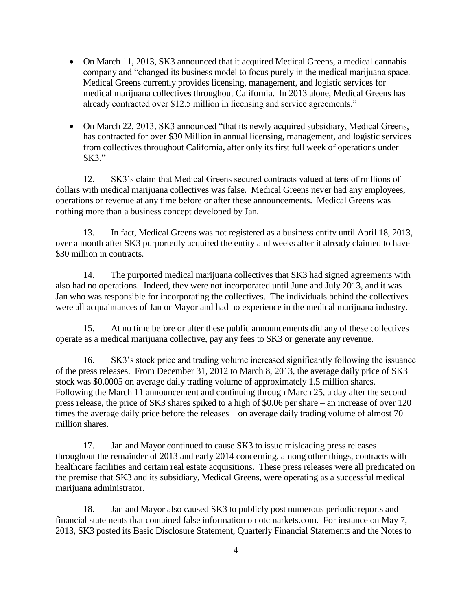- On March 11, 2013, SK3 announced that it acquired Medical Greens, a medical cannabis company and "changed its business model to focus purely in the medical marijuana space. Medical Greens currently provides licensing, management, and logistic services for medical marijuana collectives throughout California. In 2013 alone, Medical Greens has already contracted over \$12.5 million in licensing and service agreements."
- On March 22, 2013, SK3 announced "that its newly acquired subsidiary, Medical Greens, has contracted for over \$30 Million in annual licensing, management, and logistic services from collectives throughout California, after only its first full week of operations under  $SK3."$

12. SK3's claim that Medical Greens secured contracts valued at tens of millions of dollars with medical marijuana collectives was false. Medical Greens never had any employees, operations or revenue at any time before or after these announcements. Medical Greens was nothing more than a business concept developed by Jan.

13. In fact, Medical Greens was not registered as a business entity until April 18, 2013, over a month after SK3 purportedly acquired the entity and weeks after it already claimed to have \$30 million in contracts.

14. The purported medical marijuana collectives that SK3 had signed agreements with also had no operations. Indeed, they were not incorporated until June and July 2013, and it was Jan who was responsible for incorporating the collectives. The individuals behind the collectives were all acquaintances of Jan or Mayor and had no experience in the medical marijuana industry.

15. At no time before or after these public announcements did any of these collectives operate as a medical marijuana collective, pay any fees to SK3 or generate any revenue.

16. SK3's stock price and trading volume increased significantly following the issuance of the press releases. From December 31, 2012 to March 8, 2013, the average daily price of SK3 stock was \$0.0005 on average daily trading volume of approximately 1.5 million shares. Following the March 11 announcement and continuing through March 25, a day after the second press release, the price of SK3 shares spiked to a high of \$0.06 per share – an increase of over 120 times the average daily price before the releases – on average daily trading volume of almost 70 million shares.

17. Jan and Mayor continued to cause SK3 to issue misleading press releases throughout the remainder of 2013 and early 2014 concerning, among other things, contracts with healthcare facilities and certain real estate acquisitions. These press releases were all predicated on the premise that SK3 and its subsidiary, Medical Greens, were operating as a successful medical marijuana administrator.

18. Jan and Mayor also caused SK3 to publicly post numerous periodic reports and financial statements that contained false information on otcmarkets.com. For instance on May 7, 2013, SK3 posted its Basic Disclosure Statement, Quarterly Financial Statements and the Notes to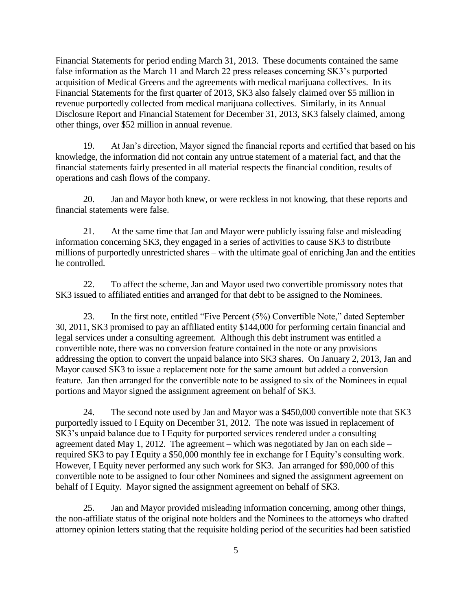Financial Statements for period ending March 31, 2013. These documents contained the same false information as the March 11 and March 22 press releases concerning SK3's purported acquisition of Medical Greens and the agreements with medical marijuana collectives. In its Financial Statements for the first quarter of 2013, SK3 also falsely claimed over \$5 million in revenue purportedly collected from medical marijuana collectives. Similarly, in its Annual Disclosure Report and Financial Statement for December 31, 2013, SK3 falsely claimed, among other things, over \$52 million in annual revenue.

19. At Jan's direction, Mayor signed the financial reports and certified that based on his knowledge, the information did not contain any untrue statement of a material fact, and that the financial statements fairly presented in all material respects the financial condition, results of operations and cash flows of the company.

20. Jan and Mayor both knew, or were reckless in not knowing, that these reports and financial statements were false.

21. At the same time that Jan and Mayor were publicly issuing false and misleading information concerning SK3, they engaged in a series of activities to cause SK3 to distribute millions of purportedly unrestricted shares – with the ultimate goal of enriching Jan and the entities he controlled.

22. To affect the scheme, Jan and Mayor used two convertible promissory notes that SK3 issued to affiliated entities and arranged for that debt to be assigned to the Nominees.

23. In the first note, entitled "Five Percent (5%) Convertible Note," dated September 30, 2011, SK3 promised to pay an affiliated entity \$144,000 for performing certain financial and legal services under a consulting agreement. Although this debt instrument was entitled a convertible note, there was no conversion feature contained in the note or any provisions addressing the option to convert the unpaid balance into SK3 shares. On January 2, 2013, Jan and Mayor caused SK3 to issue a replacement note for the same amount but added a conversion feature. Jan then arranged for the convertible note to be assigned to six of the Nominees in equal portions and Mayor signed the assignment agreement on behalf of SK3.

24. The second note used by Jan and Mayor was a \$450,000 convertible note that SK3 purportedly issued to I Equity on December 31, 2012. The note was issued in replacement of SK3's unpaid balance due to I Equity for purported services rendered under a consulting agreement dated May 1, 2012. The agreement – which was negotiated by Jan on each side – required SK3 to pay I Equity a \$50,000 monthly fee in exchange for I Equity's consulting work. However, I Equity never performed any such work for SK3. Jan arranged for \$90,000 of this convertible note to be assigned to four other Nominees and signed the assignment agreement on behalf of I Equity. Mayor signed the assignment agreement on behalf of SK3.

25. Jan and Mayor provided misleading information concerning, among other things, the non-affiliate status of the original note holders and the Nominees to the attorneys who drafted attorney opinion letters stating that the requisite holding period of the securities had been satisfied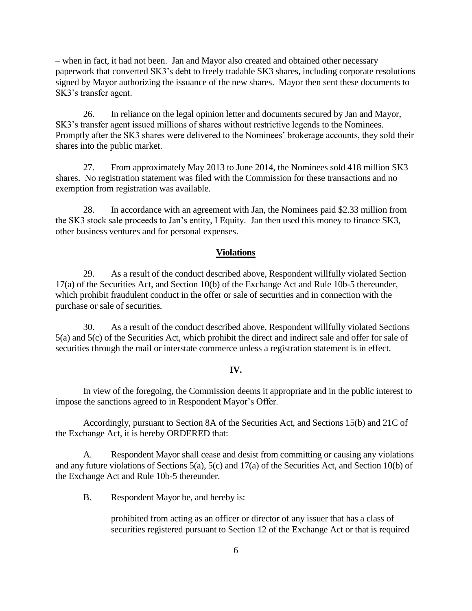– when in fact, it had not been. Jan and Mayor also created and obtained other necessary paperwork that converted SK3's debt to freely tradable SK3 shares, including corporate resolutions signed by Mayor authorizing the issuance of the new shares. Mayor then sent these documents to SK3's transfer agent.

26. In reliance on the legal opinion letter and documents secured by Jan and Mayor, SK3's transfer agent issued millions of shares without restrictive legends to the Nominees. Promptly after the SK3 shares were delivered to the Nominees' brokerage accounts, they sold their shares into the public market.

27. From approximately May 2013 to June 2014, the Nominees sold 418 million SK3 shares. No registration statement was filed with the Commission for these transactions and no exemption from registration was available.

28. In accordance with an agreement with Jan, the Nominees paid \$2.33 million from the SK3 stock sale proceeds to Jan's entity, I Equity. Jan then used this money to finance SK3, other business ventures and for personal expenses.

## **Violations**

29. As a result of the conduct described above, Respondent willfully violated Section 17(a) of the Securities Act, and Section 10(b) of the Exchange Act and Rule 10b-5 thereunder, which prohibit fraudulent conduct in the offer or sale of securities and in connection with the purchase or sale of securities*.*

30. As a result of the conduct described above, Respondent willfully violated Sections 5(a) and 5(c) of the Securities Act, which prohibit the direct and indirect sale and offer for sale of securities through the mail or interstate commerce unless a registration statement is in effect.

## **IV.**

In view of the foregoing, the Commission deems it appropriate and in the public interest to impose the sanctions agreed to in Respondent Mayor's Offer.

Accordingly, pursuant to Section 8A of the Securities Act, and Sections 15(b) and 21C of the Exchange Act, it is hereby ORDERED that:

A. Respondent Mayor shall cease and desist from committing or causing any violations and any future violations of Sections 5(a), 5(c) and 17(a) of the Securities Act, and Section 10(b) of the Exchange Act and Rule 10b-5 thereunder.

B. Respondent Mayor be, and hereby is:

prohibited from acting as an officer or director of any issuer that has a class of securities registered pursuant to Section 12 of the Exchange Act or that is required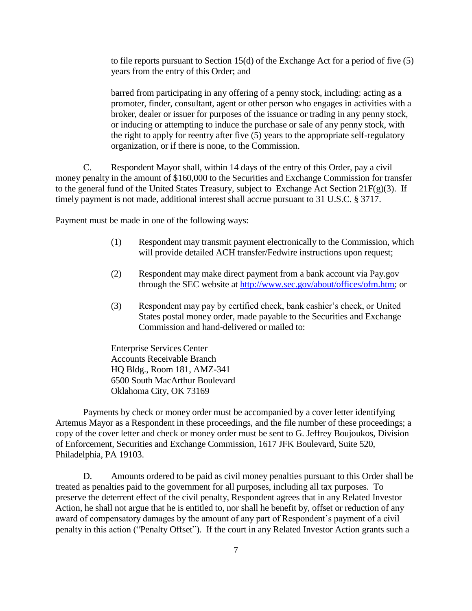to file reports pursuant to Section 15(d) of the Exchange Act for a period of five (5) years from the entry of this Order; and

barred from participating in any offering of a penny stock, including: acting as a promoter, finder, consultant, agent or other person who engages in activities with a broker, dealer or issuer for purposes of the issuance or trading in any penny stock, or inducing or attempting to induce the purchase or sale of any penny stock, with the right to apply for reentry after five (5) years to the appropriate self-regulatory organization, or if there is none, to the Commission.

C. Respondent Mayor shall, within 14 days of the entry of this Order, pay a civil money penalty in the amount of \$160,000 to the Securities and Exchange Commission for transfer to the general fund of the United States Treasury, subject to Exchange Act Section 21F(g)(3). If timely payment is not made, additional interest shall accrue pursuant to 31 U.S.C. § 3717.

Payment must be made in one of the following ways:

- (1) Respondent may transmit payment electronically to the Commission, which will provide detailed ACH transfer/Fedwire instructions upon request;
- (2) Respondent may make direct payment from a bank account via Pay.gov through the SEC website at [http://www.sec.gov/about/offices/ofm.htm;](http://www.sec.gov/about/offices/ofm.htm) or
- (3) Respondent may pay by certified check, bank cashier's check, or United States postal money order, made payable to the Securities and Exchange Commission and hand-delivered or mailed to:

Enterprise Services Center Accounts Receivable Branch HQ Bldg., Room 181, AMZ-341 6500 South MacArthur Boulevard Oklahoma City, OK 73169

Payments by check or money order must be accompanied by a cover letter identifying Artemus Mayor as a Respondent in these proceedings, and the file number of these proceedings; a copy of the cover letter and check or money order must be sent to G. Jeffrey Boujoukos, Division of Enforcement, Securities and Exchange Commission, 1617 JFK Boulevard, Suite 520, Philadelphia, PA 19103.

D. Amounts ordered to be paid as civil money penalties pursuant to this Order shall be treated as penalties paid to the government for all purposes, including all tax purposes. To preserve the deterrent effect of the civil penalty, Respondent agrees that in any Related Investor Action, he shall not argue that he is entitled to, nor shall he benefit by, offset or reduction of any award of compensatory damages by the amount of any part of Respondent's payment of a civil penalty in this action ("Penalty Offset"). If the court in any Related Investor Action grants such a